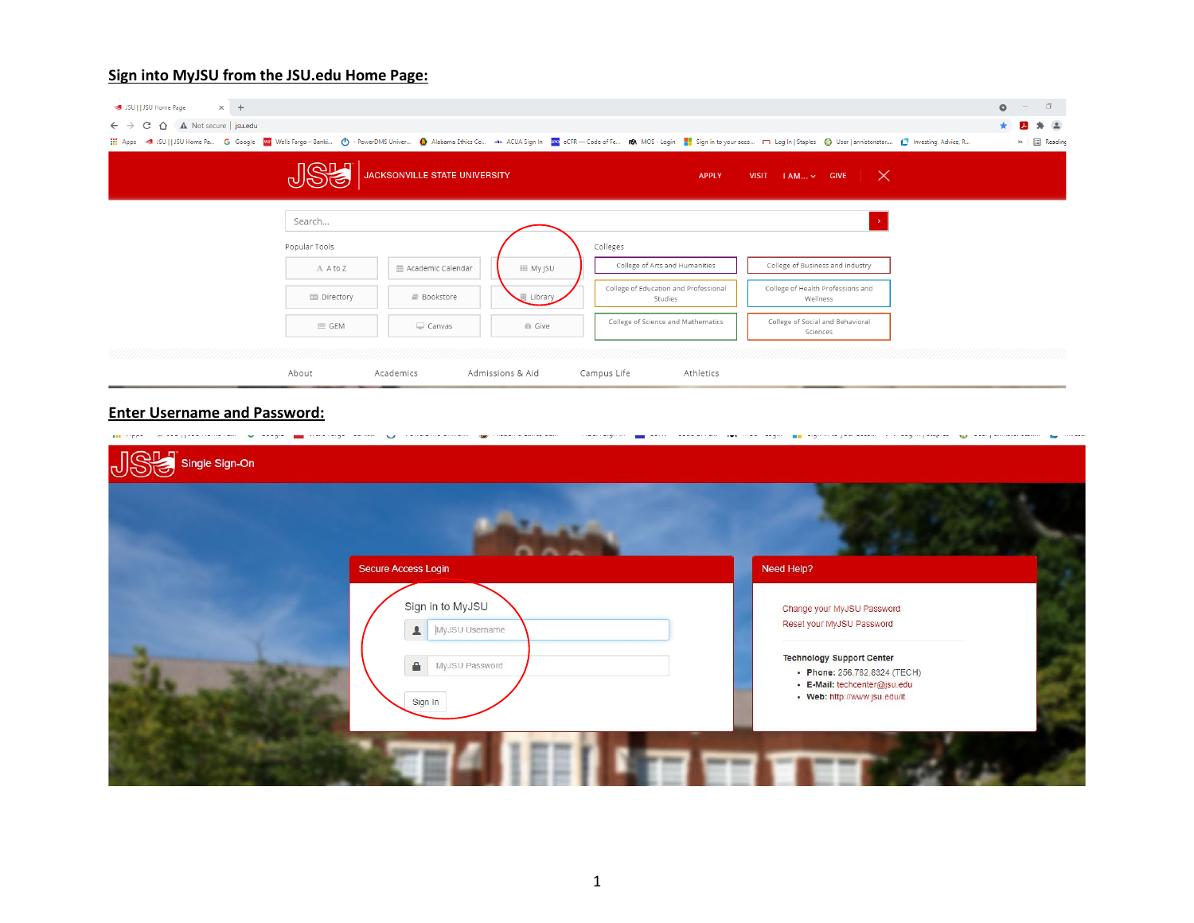### **Sign into MyJSU from the JSU.edu Home Page:**

| $\times$ +<br>JSU     JSU Home Page                                                                                |                           |                               |                  |                                                  |                                                                                                                                                                                                            | $\circ$ |   | $\Box$               |
|--------------------------------------------------------------------------------------------------------------------|---------------------------|-------------------------------|------------------|--------------------------------------------------|------------------------------------------------------------------------------------------------------------------------------------------------------------------------------------------------------------|---------|---|----------------------|
| $\leftarrow$ $\rightarrow$ $\leftarrow$ $\leftarrow$ $\leftarrow$ $\leftarrow$ $\leftarrow$ A Not secure   jsu.edu |                           |                               |                  |                                                  |                                                                                                                                                                                                            |         | 囚 | * (A)                |
|                                                                                                                    |                           |                               |                  |                                                  | ::: Apps < 5 JSU   JSU Home Pa G Google Wi Wells Fargo-Banki (1) - PowerDMS Univer (2) Alabama Ethics Co An ACUA Sign In 182 eCFR - Code of Fe R NOS - Login   sign in to your acco □ Log In   Staples (3) |         |   | » <b>III</b> Reading |
|                                                                                                                    | <b><i><u>RANA</u></i></b> | JACKSONVILLE STATE UNIVERSITY |                  | <b>APPLY</b>                                     | VISIT $ AM_{\dots} \times  G $ VISIT $ \times$                                                                                                                                                             |         |   |                      |
|                                                                                                                    | Search                    |                               |                  |                                                  |                                                                                                                                                                                                            |         |   |                      |
|                                                                                                                    | Popular Tools             |                               |                  | Colleges                                         |                                                                                                                                                                                                            |         |   |                      |
|                                                                                                                    | A A to Z                  | m Academic Calendar           | <b>EE My JSU</b> | College of Arts and Humanities                   | College of Business and Industry                                                                                                                                                                           |         |   |                      |
|                                                                                                                    | 国 Directory               | Bookstore                     | Library          | College of Education and Professional<br>Studies | College of Health Professions and<br>Wellness                                                                                                                                                              |         |   |                      |
|                                                                                                                    | $\equiv$ GEM              | $\Box$ Canvas                 | 音 Give           | College of Science and Mathematics               | College of Social and Behavioral<br>Sciences                                                                                                                                                               |         |   |                      |
|                                                                                                                    |                           |                               |                  |                                                  |                                                                                                                                                                                                            |         |   |                      |
|                                                                                                                    | About                     | Academics                     | Admissions & Aid | Campus Life<br>Athletics                         |                                                                                                                                                                                                            |         |   |                      |

## **Enter Username and Password:**

|                    | .                                                         | .<br>and grows increased<br>----------                                                                                           |
|--------------------|-----------------------------------------------------------|----------------------------------------------------------------------------------------------------------------------------------|
| JSC single Sign-On |                                                           |                                                                                                                                  |
|                    |                                                           |                                                                                                                                  |
|                    | Secure Access Login<br>Sign in to MyJSU<br>MyJSU Username | Need Help?<br>Change your MyJSU Password<br>Reset your MyJSU Password                                                            |
|                    | MyJSU Password<br>€<br>Sign In                            | <b>Technology Support Center</b><br>• Phone: 256.782.8324 (TECH)<br>· E-Mail: techcenter@jsu.edu<br>• Web: http://www.jsu.edu/it |
|                    |                                                           |                                                                                                                                  |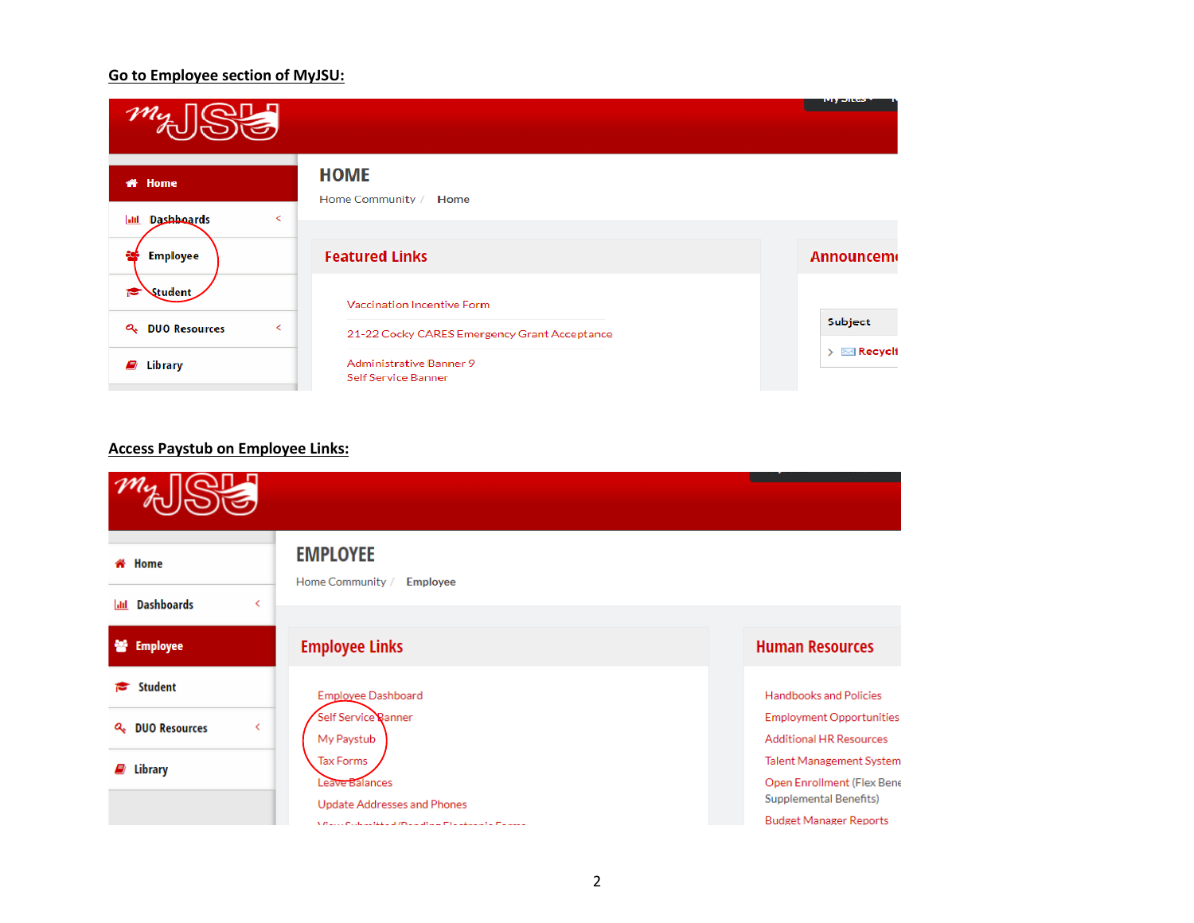### **Go to Employee section of MyJSU:**

|                                                                          |                                                       | тир элесь                            |
|--------------------------------------------------------------------------|-------------------------------------------------------|--------------------------------------|
| <b># Home</b>                                                            | <b>HOME</b><br>Home Community / Home                  |                                      |
| Dashhoards<br>$\overline{\phantom{a}}$<br><b>Jail</b><br><b>Employee</b> | <b>Featured Links</b>                                 | <b>Announcem</b>                     |
| Student                                                                  | Vaccination Incentive Form                            |                                      |
| Q <sub>+</sub> DUO Resources<br>$\overline{\phantom{a}}$                 | 21-22 Cocky CARES Emergency Grant Acceptance          | Subject                              |
| Library<br>ø                                                             | <b>Administrative Banner 9</b><br>Self Service Banner | $\triangleright \ \boxtimes$ Recycli |

## **Access Paystub on Employee Links:**

| <del>省</del> Home                       | <b>EMPLOYEE</b><br>Home Community /<br><b>Employee</b>       |                                                                   |
|-----------------------------------------|--------------------------------------------------------------|-------------------------------------------------------------------|
| <b>Dashboards</b><br>lad                |                                                              |                                                                   |
| ÷.<br><b>Employee</b>                   | <b>Employee Links</b>                                        | <b>Human Resources</b>                                            |
| Student<br>e                            | Employee Dashboard                                           | <b>Handbooks and Policies</b>                                     |
| <b>Q<sub>+</sub></b> DUO Resources<br>∢ | Self Service Banner<br>My Paystub                            | <b>Employment Opportunities</b><br><b>Additional HR Resources</b> |
| $\mathcal{L}$ Library                   | <b>Tax Forms</b>                                             | <b>Talent Management System</b>                                   |
|                                         | Leave Balances<br><b>Update Addresses and Phones</b>         | Open Enrollment (Flex Bene<br><b>Supplemental Benefits)</b>       |
|                                         | V Raccio Contantinha and Programma in Figure 2016. Factoring | <b>Budget Manager Reports</b>                                     |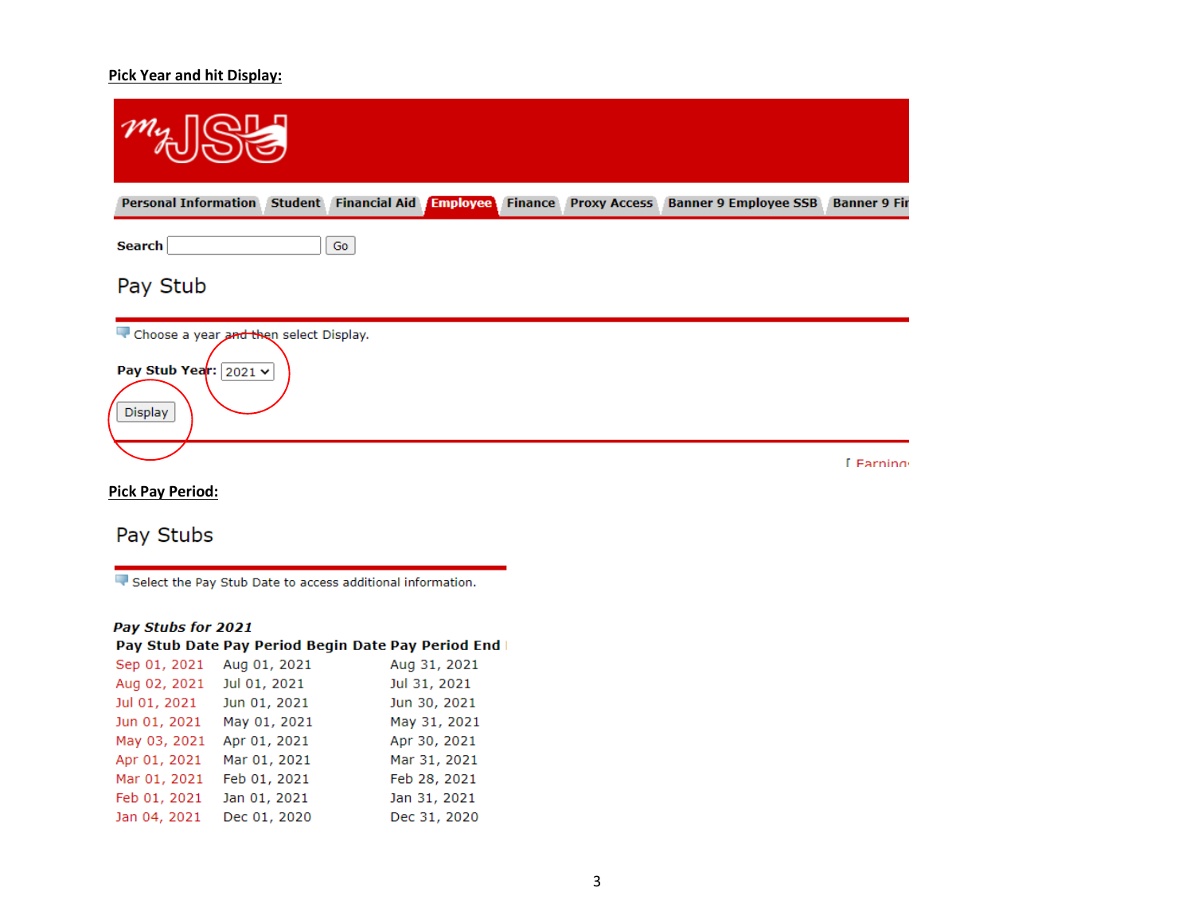## **Pick Year and hit Display:**

| Personal Information Student Financial Aid Employee                               | <b>Finance</b> | Proxy Access Banner 9 Employee SSB Banner 9 Fir |                |
|-----------------------------------------------------------------------------------|----------------|-------------------------------------------------|----------------|
| <b>Search</b><br>Go                                                               |                |                                                 |                |
| Pay Stub                                                                          |                |                                                 |                |
| Choose a year and then select Display.<br>Pay Stub Year: $2021 \times$<br>Display |                |                                                 |                |
| Diele Dou Deriodu                                                                 |                |                                                 | <b>Farning</b> |

#### **Pick Pay Period:**

# Pay Stubs

Select the Pay Stub Date to access additional information.

## Pay Stubs for 2021

|              | Pay Stub Date Pay Period Begin Date Pay Period End |              |
|--------------|----------------------------------------------------|--------------|
| Sep 01, 2021 | Aug 01, 2021                                       | Aug 31, 2021 |
| Aug 02, 2021 | Jul 01, 2021                                       | Jul 31, 2021 |
| Jul 01, 2021 | Jun 01, 2021                                       | Jun 30, 2021 |
| Jun 01, 2021 | May 01, 2021                                       | May 31, 2021 |
| May 03, 2021 | Apr 01, 2021                                       | Apr 30, 2021 |
| Apr 01, 2021 | Mar 01, 2021                                       | Mar 31, 2021 |
| Mar 01, 2021 | Feb 01, 2021                                       | Feb 28, 2021 |
| Feb 01, 2021 | Jan 01, 2021                                       | Jan 31, 2021 |
| Jan 04, 2021 | Dec 01, 2020                                       | Dec 31, 2020 |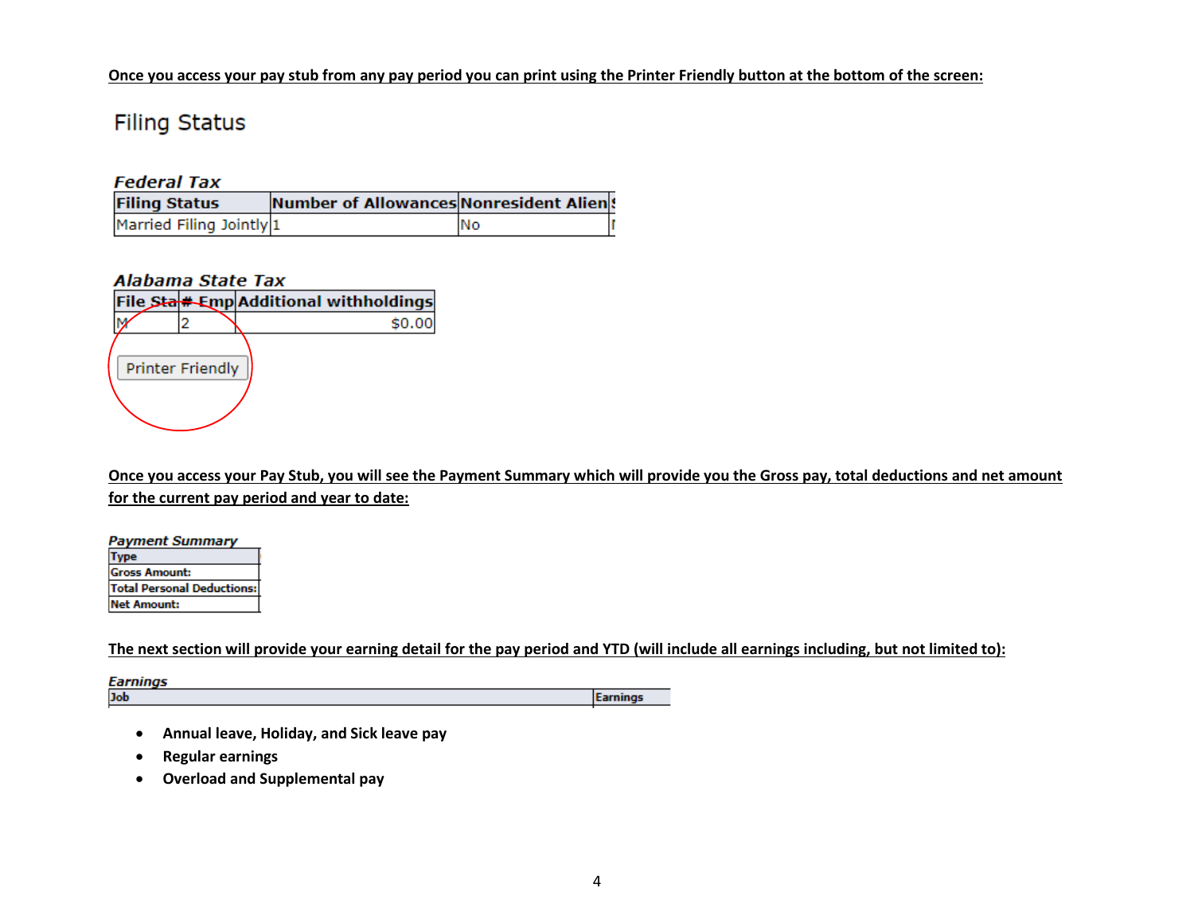#### **Once you access your pay stub from any pay period you can print using the Printer Friendly button at the bottom of the screen:**

# **Filing Status**

## **Federal Tax**

| <b>Filing Status</b>     | Number of Allowances Nonresident Alien! |     |  |
|--------------------------|-----------------------------------------|-----|--|
| Married Filing Jointly 1 |                                         | INo |  |

## **Alabama State Tax**



**Once you access your Pay Stub, you will see the Payment Summary which will provide you the Gross pay, total deductions and net amount for the current pay period and year to date:**

| <b>Payment Summary</b>            |  |  |
|-----------------------------------|--|--|
| ype                               |  |  |
| <b>Gross Amount:</b>              |  |  |
| <b>Total Personal Deductions:</b> |  |  |
| <b>Net Amount:</b>                |  |  |

## **The next section will provide your earning detail for the pay period and YTD (will include all earnings including, but not limited to):**

**Earnings** Job **Earnings** 

- **Annual leave, Holiday, and Sick leave pay**
- **Regular earnings**
- **Overload and Supplemental pay**